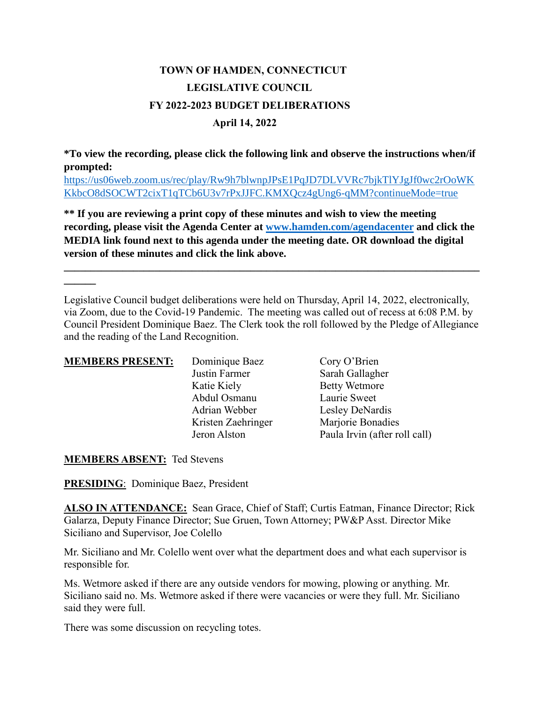## **TOWN OF HAMDEN, CONNECTICUT LEGISLATIVE COUNCIL FY 2022-2023 BUDGET DELIBERATIONS April 14, 2022**

**\*To view the recording, please click the following link and observe the instructions when/if prompted:**

[https://us06web.zoom.us/rec/play/Rw9h7blwnpJPsE1PqJD7DLVVRc7bjkTlYJgJf0wc2rOoWK](https://us06web.zoom.us/rec/play/Rw9h7blwnpJPsE1PqJD7DLVVRc7bjkTlYJgJf0wc2rOoWKKkbcO8dSOCWT2cixT1qTCb6U3v7rPxJJFC.KMXQcz4gUng6-qMM?continueMode=true) [KkbcO8dSOCWT2cixT1qTCb6U3v7rPxJJFC.KMXQcz4gUng6-qMM?continueMode=true](https://us06web.zoom.us/rec/play/Rw9h7blwnpJPsE1PqJD7DLVVRc7bjkTlYJgJf0wc2rOoWKKkbcO8dSOCWT2cixT1qTCb6U3v7rPxJJFC.KMXQcz4gUng6-qMM?continueMode=true)

**\*\* If you are reviewing a print copy of these minutes and wish to view the meeting recording, please visit the Agenda Center at [www.hamden.com/agendacenter](http://www.hamden.com/agendacenter) and click the MEDIA link found next to this agenda under the meeting date. OR download the digital version of these minutes and click the link above.**

**\_\_\_\_\_\_\_\_\_\_\_\_\_\_\_\_\_\_\_\_\_\_\_\_\_\_\_\_\_\_\_\_\_\_\_\_\_\_\_\_\_\_\_\_\_\_\_\_\_\_\_\_\_\_\_\_\_\_\_\_\_\_\_\_\_\_\_\_\_\_\_\_\_\_\_\_\_\_**

Legislative Council budget deliberations were held on Thursday, April 14, 2022, electronically, via Zoom, due to the Covid-19 Pandemic. The meeting was called out of recess at 6:08 P.M. by Council President Dominique Baez. The Clerk took the roll followed by the Pledge of Allegiance and the reading of the Land Recognition.

| <b>MEMBERS PRESENT:</b> | Dominique Baez     | Cory O'Brien                  |
|-------------------------|--------------------|-------------------------------|
|                         | Justin Farmer      | Sarah Gallagher               |
|                         | Katie Kiely        | <b>Betty Wetmore</b>          |
|                         | Abdul Osmanu       | Laurie Sweet                  |
|                         | Adrian Webber      | Lesley DeNardis               |
|                         | Kristen Zaehringer | Marjorie Bonadies             |
|                         | Jeron Alston       | Paula Irvin (after roll call) |

**MEMBERS ABSENT:** Ted Stevens

**\_\_\_\_\_\_**

**PRESIDING**: Dominique Baez, President

**ALSO IN ATTENDANCE:** Sean Grace, Chief of Staff; Curtis Eatman, Finance Director; Rick Galarza, Deputy Finance Director; Sue Gruen, Town Attorney; PW&P Asst. Director Mike Siciliano and Supervisor, Joe Colello

Mr. Siciliano and Mr. Colello went over what the department does and what each supervisor is responsible for.

Ms. Wetmore asked if there are any outside vendors for mowing, plowing or anything. Mr. Siciliano said no. Ms. Wetmore asked if there were vacancies or were they full. Mr. Siciliano said they were full.

There was some discussion on recycling totes.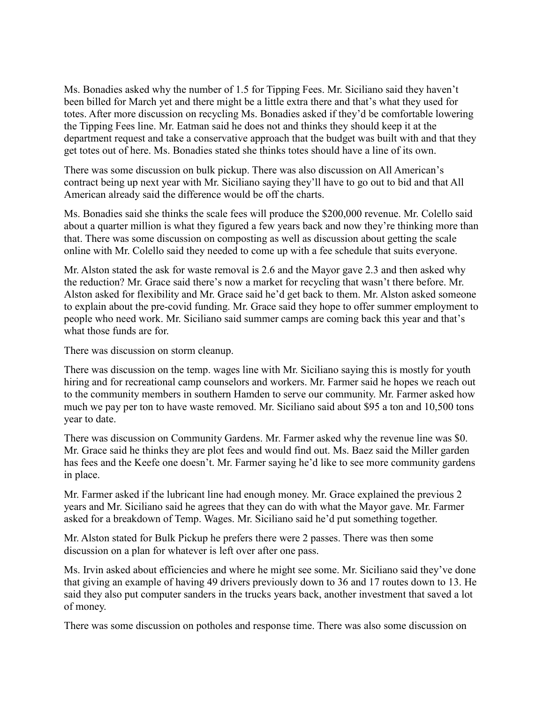Ms. Bonadies asked why the number of 1.5 for Tipping Fees. Mr. Siciliano said they haven't been billed for March yet and there might be a little extra there and that's what they used for totes. After more discussion on recycling Ms. Bonadies asked if they'd be comfortable lowering the Tipping Fees line. Mr. Eatman said he does not and thinks they should keep it at the department request and take a conservative approach that the budget was built with and that they get totes out of here. Ms. Bonadies stated she thinks totes should have a line of its own.

There was some discussion on bulk pickup. There was also discussion on All American's contract being up next year with Mr. Siciliano saying they'll have to go out to bid and that All American already said the difference would be off the charts.

Ms. Bonadies said she thinks the scale fees will produce the \$200,000 revenue. Mr. Colello said about a quarter million is what they figured a few years back and now they're thinking more than that. There was some discussion on composting as well as discussion about getting the scale online with Mr. Colello said they needed to come up with a fee schedule that suits everyone.

Mr. Alston stated the ask for waste removal is 2.6 and the Mayor gave 2.3 and then asked why the reduction? Mr. Grace said there's now a market for recycling that wasn't there before. Mr. Alston asked for flexibility and Mr. Grace said he'd get back to them. Mr. Alston asked someone to explain about the pre-covid funding. Mr. Grace said they hope to offer summer employment to people who need work. Mr. Siciliano said summer camps are coming back this year and that's what those funds are for.

There was discussion on storm cleanup.

There was discussion on the temp. wages line with Mr. Siciliano saying this is mostly for youth hiring and for recreational camp counselors and workers. Mr. Farmer said he hopes we reach out to the community members in southern Hamden to serve our community. Mr. Farmer asked how much we pay per ton to have waste removed. Mr. Siciliano said about \$95 a ton and 10,500 tons year to date.

There was discussion on Community Gardens. Mr. Farmer asked why the revenue line was \$0. Mr. Grace said he thinks they are plot fees and would find out. Ms. Baez said the Miller garden has fees and the Keefe one doesn't. Mr. Farmer saying he'd like to see more community gardens in place.

Mr. Farmer asked if the lubricant line had enough money. Mr. Grace explained the previous 2 years and Mr. Siciliano said he agrees that they can do with what the Mayor gave. Mr. Farmer asked for a breakdown of Temp. Wages. Mr. Siciliano said he'd put something together.

Mr. Alston stated for Bulk Pickup he prefers there were 2 passes. There was then some discussion on a plan for whatever is left over after one pass.

Ms. Irvin asked about efficiencies and where he might see some. Mr. Siciliano said they've done that giving an example of having 49 drivers previously down to 36 and 17 routes down to 13. He said they also put computer sanders in the trucks years back, another investment that saved a lot of money.

There was some discussion on potholes and response time. There was also some discussion on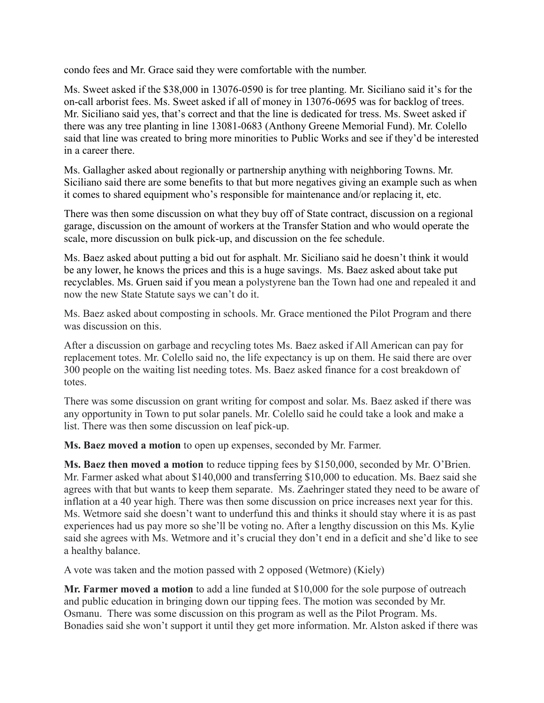condo fees and Mr. Grace said they were comfortable with the number.

Ms. Sweet asked if the \$38,000 in 13076-0590 is for tree planting. Mr. Siciliano said it's for the on-call arborist fees. Ms. Sweet asked if all of money in 13076-0695 was for backlog of trees. Mr. Siciliano said yes, that's correct and that the line is dedicated for tress. Ms. Sweet asked if there was any tree planting in line 13081-0683 (Anthony Greene Memorial Fund). Mr. Colello said that line was created to bring more minorities to Public Works and see if they'd be interested in a career there.

Ms. Gallagher asked about regionally or partnership anything with neighboring Towns. Mr. Siciliano said there are some benefits to that but more negatives giving an example such as when it comes to shared equipment who's responsible for maintenance and/or replacing it, etc.

There was then some discussion on what they buy off of State contract, discussion on a regional garage, discussion on the amount of workers at the Transfer Station and who would operate the scale, more discussion on bulk pick-up, and discussion on the fee schedule.

Ms. Baez asked about putting a bid out for asphalt. Mr. Siciliano said he doesn't think it would be any lower, he knows the prices and this is a huge savings. Ms. Baez asked about take put recyclables. Ms. Gruen said if you mean a polystyrene ban the Town had one and repealed it and now the new State Statute says we can't do it.

Ms. Baez asked about composting in schools. Mr. Grace mentioned the Pilot Program and there was discussion on this.

After a discussion on garbage and recycling totes Ms. Baez asked if All American can pay for replacement totes. Mr. Colello said no, the life expectancy is up on them. He said there are over 300 people on the waiting list needing totes. Ms. Baez asked finance for a cost breakdown of totes.

There was some discussion on grant writing for compost and solar. Ms. Baez asked if there was any opportunity in Town to put solar panels. Mr. Colello said he could take a look and make a list. There was then some discussion on leaf pick-up.

**Ms. Baez moved a motion** to open up expenses, seconded by Mr. Farmer.

**Ms. Baez then moved a motion** to reduce tipping fees by \$150,000, seconded by Mr. O'Brien. Mr. Farmer asked what about \$140,000 and transferring \$10,000 to education. Ms. Baez said she agrees with that but wants to keep them separate. Ms. Zaehringer stated they need to be aware of inflation at a 40 year high. There was then some discussion on price increases next year for this. Ms. Wetmore said she doesn't want to underfund this and thinks it should stay where it is as past experiences had us pay more so she'll be voting no. After a lengthy discussion on this Ms. Kylie said she agrees with Ms. Wetmore and it's crucial they don't end in a deficit and she'd like to see a healthy balance.

A vote was taken and the motion passed with 2 opposed (Wetmore) (Kiely)

**Mr. Farmer moved a motion** to add a line funded at \$10,000 for the sole purpose of outreach and public education in bringing down our tipping fees. The motion was seconded by Mr. Osmanu. There was some discussion on this program as well as the Pilot Program. Ms. Bonadies said she won't support it until they get more information. Mr. Alston asked if there was